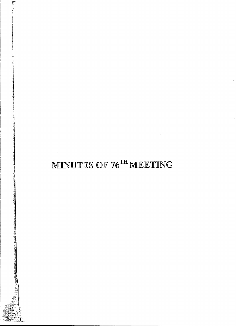# MINUTES OF 76TH MEETING

 $\sim 10$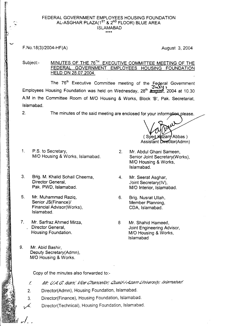#### FEDERAL GOVERNMENT EMPLOYEES HOUSING FOUNDATION AL-ASGHAR PLAZA(1<sup>st</sup> & 2<sup>nd</sup> FLOOR) BLUE AREA ISLAMABAD **• .".,,\***

F.No.18(3)/2004-HF(A) August 3, 2004

○ 李 在《中国大学》中,《中国大学》中,《中国大学》中,《中国大学》中,《中国大学》中,《中国大学》中,《中国大学》中,《中国大学》中,《中国大学》中,《中国大学》中,《中国大学》中,《中国大学》中

#### Subject:- MINUTES OF THE 76<sup>TH</sup> EXECUTIVE COMMITTEE MEETING OF THE FEDERAL GOVERNMENT EMPLOYEES HOUSING FOUNDATION HELD ON 28.07.2004.

The 76<sup>th</sup> Executive Committee meeting of the Federal Government  $J$  $V$  $y$ , Employees Housing Foundation was held on Wednesday, 28<sup>th</sup> <del>August</del>, 2004 at 10.30 A.M in the Committee Room of *MIO* Housing & Works, Block 'B', Pak. Secretariat, Islamabad.

2. The minutes of the said meeting are enclosed for your information please.

Kazam Abbas) Sved Assistant Director(Admn)

- 1. P.S. to Secretary, *MIO* Housing & Works, Islamabad.
- 3. Brig. M. Khalid Sohail Cheema. Director General, Pak. PWD, Islamabad.
- 5. Mr. Muhammad Raziq, Senior JS(Finance)/ Financial Advisor(Works), Islamabad.
- 7. Mr. Sarfraz Ahmed Mirza. \_ Director General, Housing Foundation.
- 9. Mr. Abid Bashir, Deputy Secretary(Admn), *MIO* Housing & Works.

*<sup>I</sup> ~l.*

- 2. Mr. Abdul Ghani Sameen, Senior Joint Secretary(Works), *MIO* Housing & Works, Islamabad.
- 4. Mr. Seerat Asghar. Joint Secretary(IV), *MIO* Interior, Islamabad.
- 6. Brig. Nusrat Ullah, Member Planning, CDA, Islamabad.
- 8 Mr. Shahid Hameed, Joint Engineering Advisor. *MIO* Housing & Works, Islamabad

Copy of the minutes also forwarded to:-

- *1M:t/A a 5a"/7,( WC& CI'7a"I7C&d7;;- ClU'd?/~/7'1zC?/77 &/Y6'/'.57(f: \$\$/77C?L7.<9d* 1.
- Director(Admn), Housing Foundation, Islamabad. 2.
- Director(Finance), Housing Foundation, Islamabad. 3.
- Director(Technical), Housing Foundation, Islamabad.  $v^{3}$ .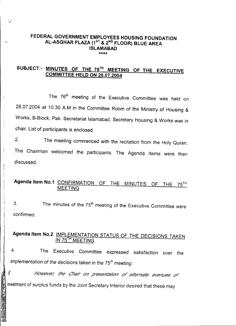### FEDERAL GOVERNMENT EMPLOYEES HOUSING FOUNDATION AL-ASGHAR PLAZA (1<sup>ST</sup> & 2<sup>ND</sup> FLOOR) BLUE AREA ISLAMABAD \*\*\*\*

 $\ddot{\phantom{0}}$ .•.

térintfültöki

ildir.cz. attitekta Transitrate) '"~

## SUBJECT:- MINUTES OF THE 76TH MEETING OF THE EXECUTIVE COMMITTEE HELD ON 28.07.2004

The 76<sup>th</sup> meeting of the Executive Committee was held on 28.07.2004 at 10.30 A.M in the Committee Room of the Ministry of Housing & Works, B-Block, Pak. Secretariat Islamabad. Secretary Housing & Works was in chair. List of participants is enclosed.

2. The meeting commenced with the recitation from the Holy Quran. The Chairman welcomed the participants. The Agenda Items were then discussed.

### Agenda *Item No.1* CONFIRMATION OF THE MINUTES OF THE 75<sup>TH</sup> **MEETING**

3. The minutes of the 75<sup>th</sup> meeting of the Executive Committee were confirmed.

### Agenda Item NO.2 *IMPLEMENTATION* STATUS OF THE *DECISIONS* TAKEN IN 75<sup>TH</sup> MEETING

4. The Executive Committee expressed satisfaction over the implementation of the decisions taken in the 75<sup>th</sup> meeting.

*£ /-Toweve/; /l;e C//a/r 0/7 P/'6'S6'I1t9/10/7 or a/l6'/'/78/6' aV6'I1t/6'S or* investment of surplus funds by the Joint Secretary Interior desired that these may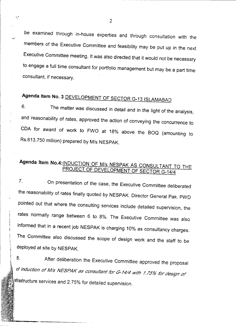be examined through in-house experties and through consultation with the members of the Executive Committee and feasibility may be put up in the next Executive Committee meeting. It was also directed that it would not be necessary to engage a full time consultant for portfolio management but may be a part time consultant, if necessary.

## **Agenda Item NO.3** DEVELOPMENT OF SECTOR G-13 ISLAMABAD

6. The matter was discussed in detail and in the light of the analysis, and reasonability of rates, approved the action of conveying the concurrence to CDA for award of work to FWO at 18% above the BOQ (amounting to RS.613.750 million) prepared by *Mis* NESPAK.

## **Agenda Item** No.4:INDUCTION OF *Mis* NESPAK AS CONSULTANT TO THE PROJECT OF DEVELOPMENT OF SECTOR *G-14/4*

7. On presentation of the case, the Executive Committee deliberated the *reasonability* of rates finally quoted by NESPAK. Director General Pak. PWD pointed out that where the consulting services include detailed supervision, the rates normally range between 6 to 8%. The Executive Committee was also informed that in a recent job NESPAK is charging 10% as consultancy charges. The Committee also discussed the scope of design work and the staff to be deployed at site by NESPAK.

8. After deliberation the Executive Committee approved the proposal *of induction of M/s NESPAK as cO/7sulla/7l/o/" 0-14/4 With* 175% *IO/" des,g/7 0/* Infrastructure services and 2.75% for detailed supervision.

 $\hat{\mathbf{v}}_i$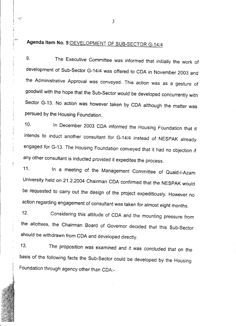## **Agenda Item No.** 5:0EVELOPMENT OF SUB-SECTOR G-14/4

 $\sim$ 

Ń.

9. The Executive Committee was informed that initially the work of development of Sub-Sector G-14/4 was offered to COA in November 2003 and the Administrative Approval was conveyed. This action was as a gesture of goodwill with the hope that the Sub-Sector would be developed concurrently with Sector G-13. No action was however taken by COA although the matter was persued by the Housing Foundation.

10. In December 2003 COA informed the Housing Foundation that it intends to induct another consultant for G-14/4 instead of NESPAK already engaged for G-13. The Housing Foundation conveyed that it had no objection if any other consultant is inducted provided it expedites the process.

11. In a meeting of the Management Committee of Quaid-I-Azam University held on 21.2.2004 Chairman COA confirmed that the NESPAK would be requested to carry out the design of the project expeditiously. However no action regarding engagement of consultant was taken for almost eight months.

12. Considering this attitude of COA and the mounting pressure from the allottees, the Chairman Board of Governor decided that this Sub-Sector should be withdrawn from CDA and developed directly.

13. The *proposition* was examined and it was concluded *that* on *the* basis of the following facts the Sub-Sector could be developed by the Housing Foundation through agency other than CDA:-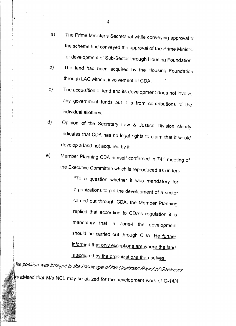- a) The Prime Minister's Secretariat while conveying approval to the scheme had conveyed the approval of the *Prime Minister* for development of Sub-Sector through Housing Foundation.
- b) The land had been acquired by the Housing Foundation through LAC without involvement of COA.
- c) The acquisition of land and its development does not involve any government funds but it is from contributions of the individual allottees.
- d) Opinion of the Secretary Law & Justice Division clearly indicates that COA has no legal rights to claim that it would develop a land not acquired by it.
- e) Member Planning CDA himself confirmed in 74<sup>th</sup> meeting of the Executive Committee which is reproduced as under:-

"To a question whether it was mandatory for organizations to get *the* development of a sector carried out through COA, the Member Planning replied that according to COA's regulation it is mandatory that in Zone-I the development should be carried out through CDA. He further informed that only exceptions are where the land is acquired by the organizations themselves.

<sup>o</sup> advised *that Mis NCL* may be *utilized* for *the* development work of G-14/4. The position was brought to the knowledge of the Chairman Board of Governors

~

 $\chi_{\rm i}$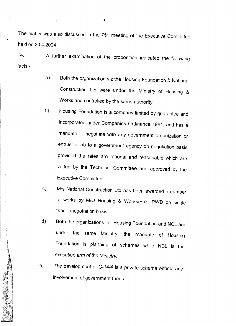The matter was also discussed in the  $75<sup>th</sup>$  meeting of the Executive Committee held on 30.4.2004.

14. A further examination of the proposition indicated the following facts:-

- a) Both the organization viz the Housing Foundation & National Construction Ltd were under the Ministry of Housing & Works and controlled by the same authority.
- b) Housing Foundation is a company limited by guarantee and incorporated under Companies Ordinance 1984, and has a mandate to negotiate with any government organization or entrust a job to a government agency on negotiation basis provided the rates are rational and reasonable which are vetted by the Technical Committee and approved by the Executive Committee.
- c) M/s National Construction Ltd has been awarded a number of works by *M/O* Housing & Works/Pak. PWD on single tender/negotiation basis.
- d) Both the organizations i.e. Housing Foundation and NCL are under the same Ministry, the mandate of Housing Foundation is planning of schemes while NCL is the *execution arm* of *the Ministry.*
- e) The *development* of G-14/4 is a private scheme *without* any involvement of government funds.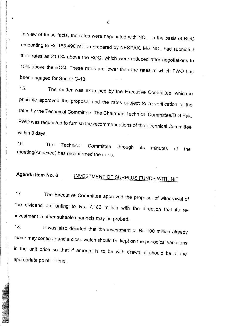In view of these facts, the rates were negotiated with NCL on the basis of BOQ amounting to Rs.153.498 million prepared by NESPAK. M/s NCL had submitted their rates as 21.6% above the BOO, which were reduced after negotiations to 15% above the BOO. These rates are lower than the rates at which FWO has been engaged for Sector G-13.

" ...••

15. The matter was examined by the Executive Committee, which in principle approved the proposal and the rates subject to re-verification of the rates by the Technical Committee. The Chairman Technical Committee/D.G Pak. PWD was requested to furnish the recommendations of the Technical Committee within 3 days.

16. The Technical Committee through *its* minutes of the meeting(Annexed) has reconfirmed the rates.

## **Agenda Item No.6** INVESTMENT OF SURPLUS FUNDS WITH NIT

17 The Executive Committee approved the proposal of withdrawal of the dividend amounting to Rs. 7.183 million with the direction that its reinvestment in other suitable channels may be probed.

18. It was also decided that the investment of Rs 100 million already made may continue and a close watch should be kept on the periodical variations in the *unit* price so that if amount is to be with drawn, it should be at the appropriate point of time.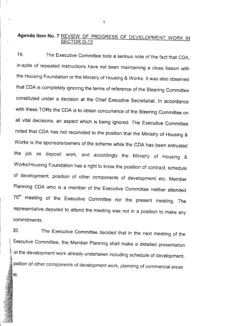### **Agenda Item NO.7** REVIEW OF PROGRESS OF DEVELOPMENT WORK IN SECTOR G-13

19. The Executive Committee took a serious note of the fact that COA, in-spite of repeated instructions have not been maintaining a close liaison with the Housing Foundation or the Ministry of Housing & Works. It was also observed that COA is completely ignoring the terms of reference of the Steering Committee constituted under a decision at the Chief Executive Secretariat. In accordance with these TORs the CDA is to obtain concurrence of the Steering Committee on all vital decisions, an aspect which is being ignored. The Executive Committee noted that COA has not reconciled to the position that the Ministry of Housing & Works is the sponsors/owners of the scheme while the COA has been entrusted the job as deposit work, and accordingly the Ministry of Housing & Works/Housing Foundation has a right to know the *position* of contract, schedule of development, position of other components of development etc: Member Planning COA who is a member of the Executive Committee neither attended 75<sup>th</sup> meeting of the Executive Committee nor the present meeting. The representative deputed to attend the meeting was not in a position to make any *commitments.*

20. The Executive Committee decided that in the next meeting of the \ Executive Committee, the Member Planning shall make a detailed presentation on the development work already undertaken including schedule of development, position of other components of development work, planning of commercial areas

etc.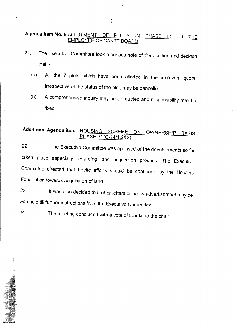**Agenda Item No.8** ALLOTMENT OF PLOTS IN PHASE iiI TO THE EMPLOYEE OF CANTI BOARD

- 21. The Executive Committee took a serious note of the position and decided that: -
	- (a) All the 7 plots which have been allotted in the irrelevant quota, irrespective of the status of the plot, may be cancelled
	- (b) A comprehensive inquiry may be conducted and responsibility may be fixed.

## Additional Agenda item HOUSING SCHEME ON OWNERSHIP BASIS PHASE IV (G-14/1,2&3)

22. The Executive Committee was apprised of the developments so far taken place especially regarding land *acquisition* process. The Executive Committee directed that hectic efforts should be continued by the Housing Foundation towards acquisition of land.

23. It was also decided that offer letters or *press* advertisement *may* be with held till further instructions from the Executive Committee.

24. The meeting concluded with a vote of thanks to the chair.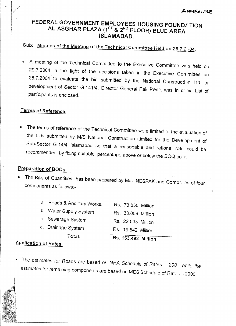## FEDERAL GOVERNMENT EMPLOYEES HOUSING FOUNDATION AL-ASGHAR PLAZA (1<sup>ST</sup> & 2<sup>ND</sup> FLOOR) BLUE AREA ISLAMABAD.

## Sub: Minutes of the Meeting of the Technical Committee Held on 29.7.2 104.

o A meeting of the Technical Committee to the Executive Committee w; s held on 29.7.2004 in the light of the decisions taken in the Executive Con mittee on 28.7.2004 to evaluate the bid submitted by the National Constructi in Ltd for development of Sector G-141/4. Director General Pak PWD, was in chair. List of participants is enclosed.

### Terms of Reference.

The terms of reference of the Technical Committee were limited to the evaluation of  $\bullet$ the bids submitted by M/S National Construction Limited for the Deve opment of Sub-Sector G-14/4 Islamabad so that a reasonable and rational rate could be recommended by *fixing* suitable percentage above or below the 80Q co t.

## Preparation of BOQs.

*n'* the Bills of Quantities, has been prepared by M/s. NESPAK and Compr, ses of fact components as follows:- $\frac{1}{3}$ 

| $ \blacksquare$ |                             |                     |  |  |  |
|-----------------|-----------------------------|---------------------|--|--|--|
|                 | Total:                      | Rs. 153.498 Million |  |  |  |
|                 | d. Drainage System.         | Rs. 19.542 Million  |  |  |  |
|                 | c. Sewerage System          | Rs. 22.033 Million  |  |  |  |
|                 |                             |                     |  |  |  |
|                 | b. Water Supply System      | Rs. 38.069 Million  |  |  |  |
|                 | a. Roads & Ancillary Works: | Rs. 73.850 Million  |  |  |  |
|                 |                             |                     |  |  |  |

### Application of Rates.

*• The estimates* for Roads are based *on* NHA *Schedule* of Rates \_ *200. while the* estimates for remaining components are based on MES Schedule of Rate ; - 2000.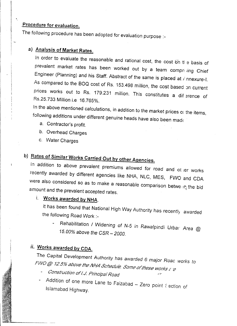## Procedure for evaluation.

I

I o ang pinamanan

 $\ddot{\phantom{a}}$ 

The following procedure has been adopted for evaluation purpose :-

## a) Analysis of Market Rates.

In order to evaluate the reasonable and rational cost, the cost  $\delta$ n tl e basis of prevalent market rates has been worked out by a team comprising Chief Engineer (Planning) and his Staff. Abstract of the same is placed at *i* nnexure-1. As compared to the BOQ cost of Rs. 153.498 million, the cost based on current prices works out to Rs. 179.231 million. This constitutes a dif erence of RS.25.733 Million i.e 16.765%.

In the above mentioned calculations, in addition to the market prices of the items, following additions under different genuine heads have also been madr .

- a. Contractor's profit.
- b. Overhead Charges
- c. Water Charges

## b) Rates of Similar Works Carried Out by other Agencies.

In addition to above prevalent premiums allowed for road and ot ier works recently awarded by different agencies like NHA, NLC, MES, FWO and COA were also considered so as to make a reasonable comparison between the bid amount and the prevalent accepted rates.

## i. Works awarded by NHA.

It has been found that National High Way Authority has recently awarded the following Road Work :-

Rehabilitation / *Widening* of *N-5 in Rawalpindi Urbar Area* @ *15.00% above the CSR - 2000.*

## *ii.* Works awarded by CDA.

The *Capital* Development *Authority* has *awarded* 6 *major Roac works to FWD* @ 125%*abOYBloe !VilA Scoedv,i: Some ol/lJese works Ee*

- *Construction of I.J. Principal Road*
- Addition of one more Lane to Faizabad Zero point  $\xi$  ection of Islamabad Highway.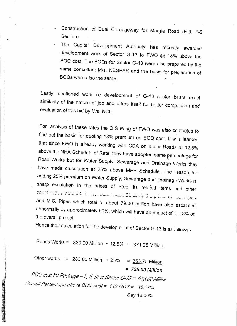Construction of Dual Carriageway for Margla Road (E-9, F-9 Section)

- The *Capital* Development Authority has recently awarded development work of Sector G-13 to FWO @ 18% 3bove the BOQ cost. The BOQs for Sector G-13 were also prepared by the same consultant M/s. NESPAK and the basis for pre; aration of SOQs were also the same.

Lastly mentioned work i.e development of G-13 sector bears exact similarity of the nature of job and offers itself for better comparison and evaluation of this bid by *MIs.* NCL.

For analysis of these rates the Q.S Wing of FWO was also contacted to find out the basis for quoting 18% premium on BOQ cost. It w ;s learned that since FWO is already working with CDA on major Roads at 12.5% above the NHA Schedule of Rate, they have adopted same perc entage for Road Works but for Water Supply, Sewerage and Drainage V.'orks they have made calculation at 25% above MES Schedule. The eason for adding 25% premium on Water Supply, Sewerage and Drainag : Works is sharp escalation in the prices of Steel its related items and other construction materials in the recent public Cimilarly the prices of said fipes and M.S. Pipes which total to about 79.00 million have also escalated abnormally by approximately 50%, which will have an impact of  $\beta - 8\%$  on the overall project.

Hence their calculation for the development of Sector G-13 is as iollows:-

Roads Works = 330.00 Million + 12.5% = 371.25 Million.

Other works =  $283.00$  Million +  $25\%$  =  $\frac{353.75}{100}$  Million *= 725.00 Million BOQ* cost for Package - 1, 11, 111 of Sector G-13 = 613.00 Millior *Overa/lPercentageabove BOQ cost* = 112/613 = 18.27%

."

"

Say 18.00%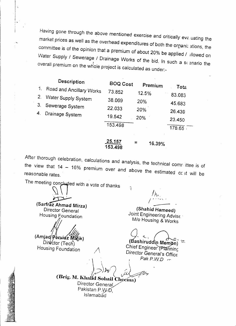Having gone through the above mentioned exercise and critically evaluating the market prices as well as the overhead expenditures of both the organi; ations, the committee is of the opinion that a premium of about 20% be applied / Jllowed on Water Supply / Sewerage / Drainage Works of the bid. In such a scenario the overall premium on the whole project is calculated as under:-

|                                                                      | <b>Description</b>                                                                    | <b>BOQ Cost</b>                      |                                |                                    |
|----------------------------------------------------------------------|---------------------------------------------------------------------------------------|--------------------------------------|--------------------------------|------------------------------------|
| $\mathbf{1}$ .<br>2 <sub>1</sub><br>3 <sub>1</sub><br>4 <sub>1</sub> | Road and Ancillary Works<br>Water Supply System<br>Sewerage System<br>Drainage System | 73.852<br>38.069<br>22.033<br>19.542 | Premium<br>12.5%<br>20%<br>20% | Tota<br>83.083<br>45.683<br>26.439 |
|                                                                      |                                                                                       | 153.498<br>95 J.F-                   | 20%                            | 23.450<br>178.65                   |

<u>25.157</u> 153.498 = 16.39%

Ç.

After thorough celebration, calculations and analysis, the technical comr ittee is of  $t_{\text{max}}$  is  $t_{\text{max}}$  premium over and above the estimated cost will reasonable rates.

The meeting concluded with a vote of thanks

 $\frac{1}{2}$ ~

(Sarfraz Ahmad Mirza) Director General Housing Foundation

 $(Am)$ jad/ $\not$ erviáz Máljk) Director (Tech)

Housing Foundation

(Shahid Hameed) Joint Engineering Advise *Mia* Housing & Works

(Bashiruddin Memon)

Chief Engineer (Planning */\ Director General's OfficE . Pak P. WD r'-*

*)/)W~ ~* (Brig. M. Khalid Sohail Cheema Director General Pakistan P.W.D. Islamabad



i<br>I Serbian Bandara<br>I Serbian Bandara i, l 1 j i ā. , .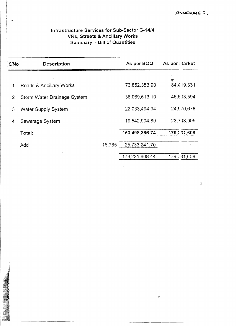### Infrastructure Services for Sub-Sector G-14/4 VRs, Streets & Ancillary Works Summary - Bill of Quantities

| S/No           | <b>Description</b>          |        | As per BOQ     | As per l'iarket |
|----------------|-----------------------------|--------|----------------|-----------------|
|                |                             |        |                |                 |
| 1              | Roads & Ancillary Works     |        | 73,852,353.90  | ా<br>84,419,331 |
| $\overline{2}$ | Storm Water Drainage System |        | 38,069,613.10  | 46,633,594      |
| 3              | <b>Water Supply System</b>  |        | 22,033,494.94  | 24,970,678      |
| 4              | Sewerage System             |        | 19,542,904.80  | 23,148,005      |
|                | Total:                      |        | 153,498,366.74 | 179, 231, 608   |
|                | Add                         | 16.765 | 25,733,241.70  |                 |
|                |                             |        | 179,231,608.44 | 179,231,608     |

Q.

 $\chi$  by

------- --------------~ ----\_. -.\_-------